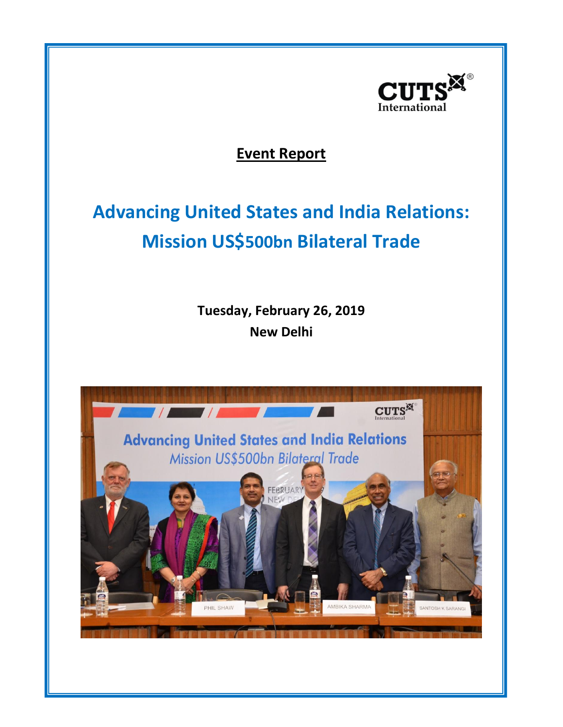

**Event Report**

## **Advancing United States and India Relations: Mission US\$500bn Bilateral Trade**

**Tuesday, February 26, 2019 New Delhi**

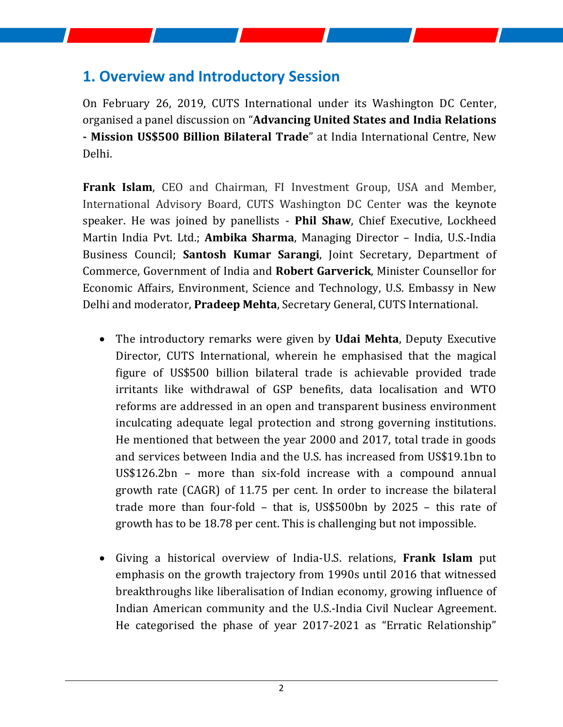## **1. Overview and Introductory Session**

On February 26, 2019, CUTS International under its Washington DC Center, organised a panel discussion on "**Advancing United States and India Relations - Mission US\$500 Billion Bilateral Trade**" at India International Centre, New Delhi.

**Frank Islam**, CEO and Chairman, FI Investment Group, USA and Member, International Advisory Board, CUTS Washington DC Center was the keynote speaker. He was joined by panellists - **Phil Shaw**, Chief Executive, Lockheed Martin India Pvt. Ltd.; **Ambika Sharma**, Managing Director – India, U.S.-India Business Council; **Santosh Kumar Sarangi**, Joint Secretary, Department of Commerce, Government of India and **Robert Garverick**, Minister Counsellor for Economic Affairs, Environment, Science and Technology, U.S. Embassy in New Delhi and moderator, **Pradeep Mehta**, Secretary General, CUTS International.

- The introductory remarks were given by **Udai Mehta**, Deputy Executive Director, CUTS International, wherein he emphasised that the magical figure of US\$500 billion bilateral trade is achievable provided trade irritants like withdrawal of GSP benefits, data localisation and WTO reforms are addressed in an open and transparent business environment inculcating adequate legal protection and strong governing institutions. He mentioned that between the year 2000 and 2017, total trade in goods and services between India and the U.S. has increased from US\$19.1bn to US\$126.2bn – more than six-fold increase with a compound annual growth rate (CAGR) of 11.75 per cent. In order to increase the bilateral trade more than four-fold – that is, US\$500bn by 2025 – this rate of growth has to be 18.78 per cent. This is challenging but not impossible.
- Giving a historical overview of India-U.S. relations, **Frank Islam** put emphasis on the growth trajectory from 1990s until 2016 that witnessed breakthroughs like liberalisation of Indian economy, growing influence of Indian American community and the U.S.-India Civil Nuclear Agreement. He categorised the phase of year 2017-2021 as "Erratic Relationship"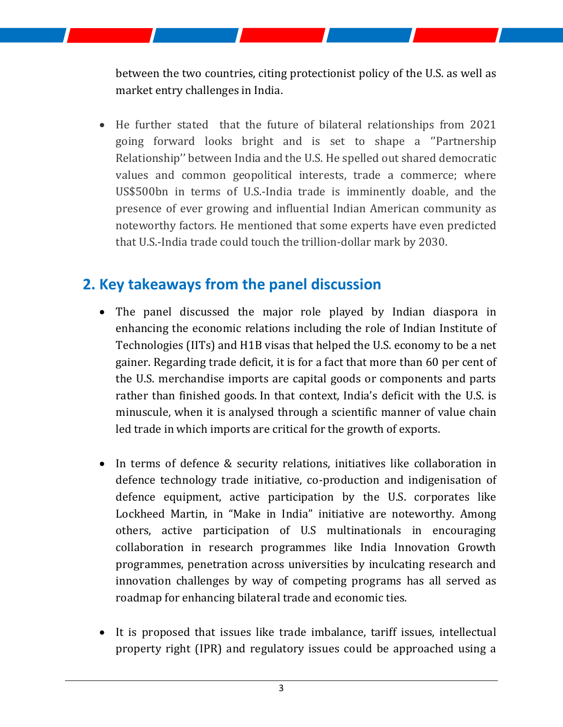between the two countries, citing protectionist policy of the U.S. as well as market entry challenges in India.

• He further stated that the future of bilateral relationships from 2021 going forward looks bright and is set to shape a ''Partnership Relationship'' between India and the U.S. He spelled out shared democratic values and common geopolitical interests, trade a commerce; where US\$500bn in terms of U.S.-India trade is imminently doable, and the presence of ever growing and influential Indian American community as noteworthy factors. He mentioned that some experts have even predicted that U.S.-India trade could touch the trillion-dollar mark by 2030.

## **2. Key takeaways from the panel discussion**

- The panel discussed the major role played by Indian diaspora in enhancing the economic relations including the role of Indian Institute of Technologies (IITs) and H1B visas that helped the U.S. economy to be a net gainer. Regarding trade deficit, it is for a fact that more than 60 per cent of the U.S. merchandise imports are capital goods or components and parts rather than finished goods. In that context, India's deficit with the U.S. is minuscule, when it is analysed through a scientific manner of value chain led trade in which imports are critical for the growth of exports.
- In terms of defence & security relations, initiatives like collaboration in defence technology trade initiative, co-production and indigenisation of defence equipment, active participation by the U.S. corporates like Lockheed Martin, in "Make in India" initiative are noteworthy. Among others, active participation of U.S multinationals in encouraging collaboration in research programmes like India Innovation Growth programmes, penetration across universities by inculcating research and innovation challenges by way of competing programs has all served as roadmap for enhancing bilateral trade and economic ties.
- It is proposed that issues like trade imbalance, tariff issues, intellectual property right (IPR) and regulatory issues could be approached using a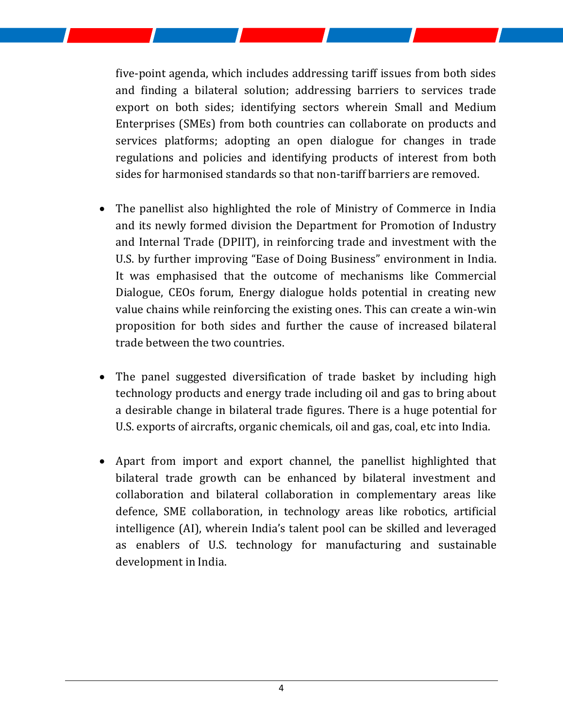five-point agenda, which includes addressing tariff issues from both sides and finding a bilateral solution; addressing barriers to services trade export on both sides; identifying sectors wherein Small and Medium Enterprises (SMEs) from both countries can collaborate on products and services platforms; adopting an open dialogue for changes in trade regulations and policies and identifying products of interest from both sides for harmonised standards so that non-tariff barriers are removed.

- The panellist also highlighted the role of Ministry of Commerce in India and its newly formed division the Department for Promotion of Industry and Internal Trade (DPIIT), in reinforcing trade and investment with the U.S. by further improving "Ease of Doing Business" environment in India. It was emphasised that the outcome of mechanisms like Commercial Dialogue, CEOs forum, Energy dialogue holds potential in creating new value chains while reinforcing the existing ones. This can create a win-win proposition for both sides and further the cause of increased bilateral trade between the two countries.
- The panel suggested diversification of trade basket by including high technology products and energy trade including oil and gas to bring about a desirable change in bilateral trade figures. There is a huge potential for U.S. exports of aircrafts, organic chemicals, oil and gas, coal, etc into India.
- Apart from import and export channel, the panellist highlighted that bilateral trade growth can be enhanced by bilateral investment and collaboration and bilateral collaboration in complementary areas like defence, SME collaboration, in technology areas like robotics, artificial intelligence (AI), wherein India's talent pool can be skilled and leveraged as enablers of U.S. technology for manufacturing and sustainable development in India.